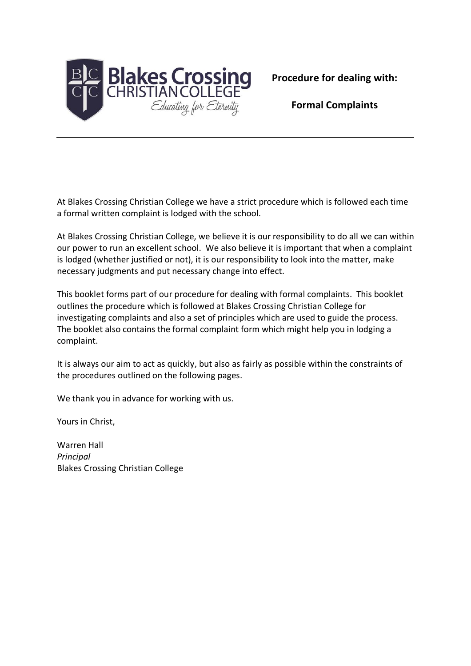

**Formal Complaints**

At Blakes Crossing Christian College we have a strict procedure which is followed each time a formal written complaint is lodged with the school.

At Blakes Crossing Christian College, we believe it is our responsibility to do all we can within our power to run an excellent school. We also believe it is important that when a complaint is lodged (whether justified or not), it is our responsibility to look into the matter, make necessary judgments and put necessary change into effect.

This booklet forms part of our procedure for dealing with formal complaints. This booklet outlines the procedure which is followed at Blakes Crossing Christian College for investigating complaints and also a set of principles which are used to guide the process. The booklet also contains the formal complaint form which might help you in lodging a complaint.

It is always our aim to act as quickly, but also as fairly as possible within the constraints of the procedures outlined on the following pages.

We thank you in advance for working with us.

Yours in Christ,

Warren Hall *Principal* Blakes Crossing Christian College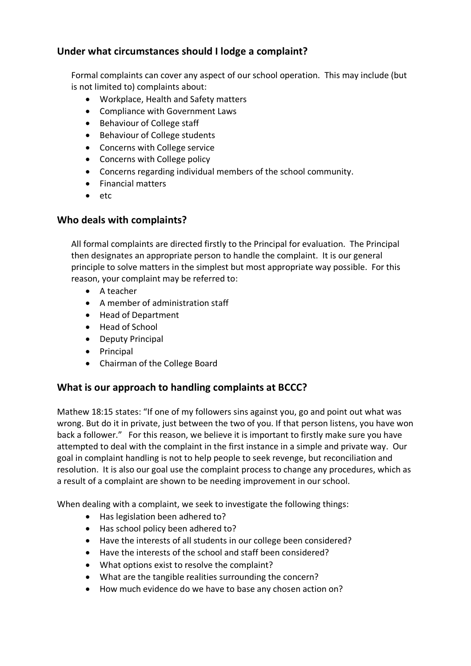# **Under what circumstances should I lodge a complaint?**

Formal complaints can cover any aspect of our school operation. This may include (but is not limited to) complaints about:

- Workplace, Health and Safety matters
- Compliance with Government Laws
- Behaviour of College staff
- Behaviour of College students
- Concerns with College service
- Concerns with College policy
- Concerns regarding individual members of the school community.
- Financial matters
- etc

## **Who deals with complaints?**

All formal complaints are directed firstly to the Principal for evaluation. The Principal then designates an appropriate person to handle the complaint. It is our general principle to solve matters in the simplest but most appropriate way possible. For this reason, your complaint may be referred to:

- A teacher
- A member of administration staff
- Head of Department
- Head of School
- Deputy Principal
- Principal
- Chairman of the College Board

## **What is our approach to handling complaints at BCCC?**

Mathew 18:15 states: "If one of my followers sins against you, go and point out what was wrong. But do it in private, just between the two of you. If that person listens, you have won back a follower." For this reason, we believe it is important to firstly make sure you have attempted to deal with the complaint in the first instance in a simple and private way. Our goal in complaint handling is not to help people to seek revenge, but reconciliation and resolution. It is also our goal use the complaint process to change any procedures, which as a result of a complaint are shown to be needing improvement in our school.

When dealing with a complaint, we seek to investigate the following things:

- Has legislation been adhered to?
- Has school policy been adhered to?
- Have the interests of all students in our college been considered?
- Have the interests of the school and staff been considered?
- What options exist to resolve the complaint?
- What are the tangible realities surrounding the concern?
- How much evidence do we have to base any chosen action on?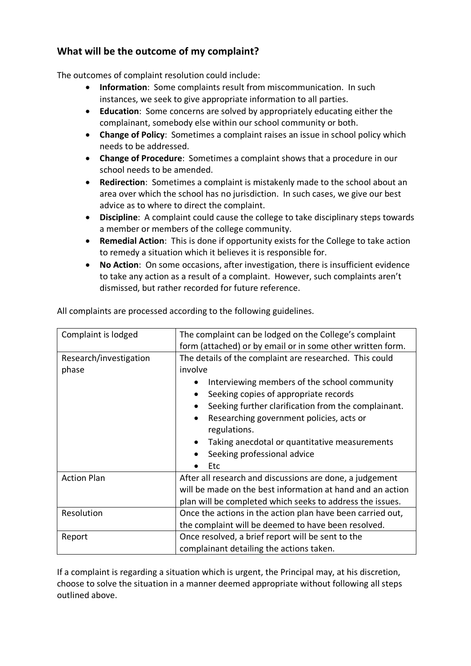## **What will be the outcome of my complaint?**

The outcomes of complaint resolution could include:

- **Information**: Some complaints result from miscommunication. In such instances, we seek to give appropriate information to all parties.
- **Education**: Some concerns are solved by appropriately educating either the complainant, somebody else within our school community or both.
- **Change of Policy**: Sometimes a complaint raises an issue in school policy which needs to be addressed.
- **Change of Procedure**: Sometimes a complaint shows that a procedure in our school needs to be amended.
- **Redirection**: Sometimes a complaint is mistakenly made to the school about an area over which the school has no jurisdiction. In such cases, we give our best advice as to where to direct the complaint.
- **Discipline**: A complaint could cause the college to take disciplinary steps towards a member or members of the college community.
- **Remedial Action**: This is done if opportunity exists for the College to take action to remedy a situation which it believes it is responsible for.
- **No Action**: On some occasions, after investigation, there is insufficient evidence to take any action as a result of a complaint. However, such complaints aren't dismissed, but rather recorded for future reference.

| Complaint is lodged             | The complaint can be lodged on the College's complaint<br>form (attached) or by email or in some other written form.                                                                |  |  |
|---------------------------------|-------------------------------------------------------------------------------------------------------------------------------------------------------------------------------------|--|--|
| Research/investigation<br>phase | The details of the complaint are researched. This could<br>involve                                                                                                                  |  |  |
|                                 | Interviewing members of the school community<br>Seeking copies of appropriate records<br>Seeking further clarification from the complainant.                                        |  |  |
|                                 | Researching government policies, acts or<br>$\bullet$<br>regulations.<br>Taking anecdotal or quantitative measurements                                                              |  |  |
|                                 | Seeking professional advice<br>Etc                                                                                                                                                  |  |  |
| <b>Action Plan</b>              | After all research and discussions are done, a judgement<br>will be made on the best information at hand and an action<br>plan will be completed which seeks to address the issues. |  |  |
| Resolution                      | Once the actions in the action plan have been carried out,<br>the complaint will be deemed to have been resolved.                                                                   |  |  |
| Report                          | Once resolved, a brief report will be sent to the<br>complainant detailing the actions taken.                                                                                       |  |  |

All complaints are processed according to the following guidelines.

If a complaint is regarding a situation which is urgent, the Principal may, at his discretion, choose to solve the situation in a manner deemed appropriate without following all steps outlined above.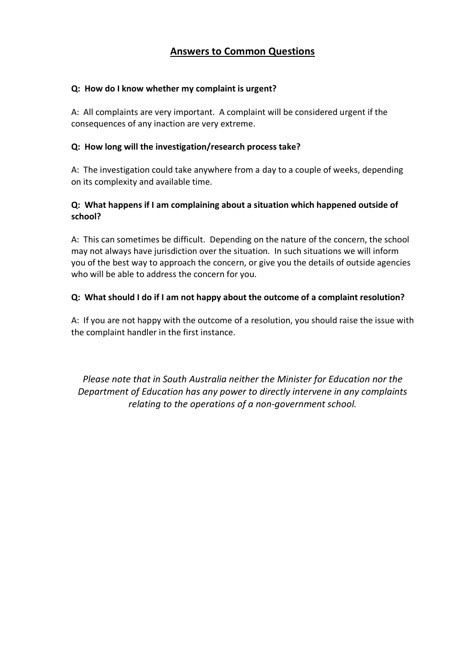## **Answers to Common Questions**

#### **Q: How do I know whether my complaint is urgent?**

A: All complaints are very important. A complaint will be considered urgent if the consequences of any inaction are very extreme.

#### **Q: How long will the investigation/research process take?**

A: The investigation could take anywhere from a day to a couple of weeks, depending on its complexity and available time.

### **Q: What happens if I am complaining about a situation which happened outside of school?**

A: This can sometimes be difficult. Depending on the nature of the concern, the school may not always have jurisdiction over the situation. In such situations we will inform you of the best way to approach the concern, or give you the details of outside agencies who will be able to address the concern for you.

### **Q: What should I do if I am not happy about the outcome of a complaint resolution?**

A: If you are not happy with the outcome of a resolution, you should raise the issue with the complaint handler in the first instance.

*Please note that in South Australia neither the Minister for Education nor the Department of Education has any power to directly intervene in any complaints relating to the operations of a non-government school.*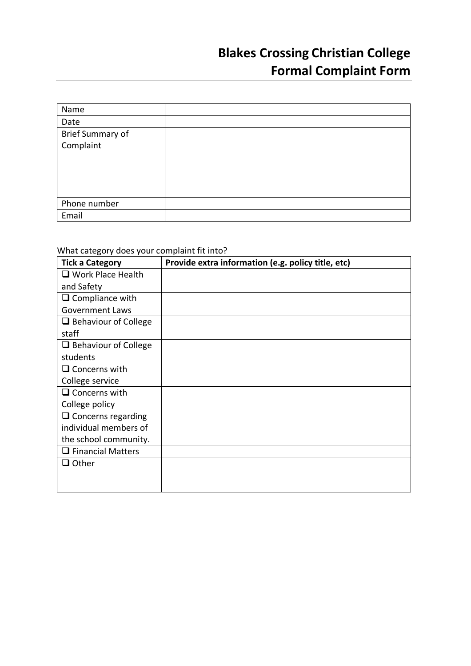| Name                    |  |
|-------------------------|--|
| Date                    |  |
| <b>Brief Summary of</b> |  |
| Complaint               |  |
|                         |  |
|                         |  |
|                         |  |
|                         |  |
| Phone number            |  |
| Email                   |  |

# What category does your complaint fit into?

| <b>Tick a Category</b>      | Provide extra information (e.g. policy title, etc) |
|-----------------------------|----------------------------------------------------|
| $\Box$ Work Place Health    |                                                    |
| and Safety                  |                                                    |
| $\Box$ Compliance with      |                                                    |
| <b>Government Laws</b>      |                                                    |
| $\Box$ Behaviour of College |                                                    |
| staff                       |                                                    |
| $\Box$ Behaviour of College |                                                    |
| students                    |                                                    |
| $\Box$ Concerns with        |                                                    |
| College service             |                                                    |
| $\Box$ Concerns with        |                                                    |
| College policy              |                                                    |
| $\Box$ Concerns regarding   |                                                    |
| individual members of       |                                                    |
| the school community.       |                                                    |
| $\Box$ Financial Matters    |                                                    |
| $\Box$ Other                |                                                    |
|                             |                                                    |
|                             |                                                    |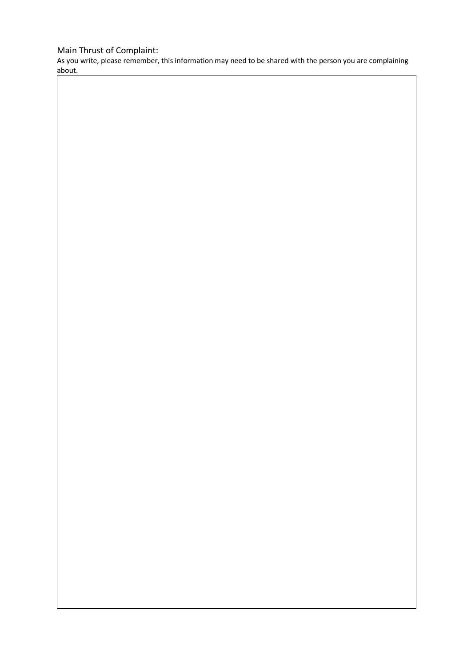# Main Thrust of Complaint:

As you write, please remember, this information may need to be shared with the person you are complaining about.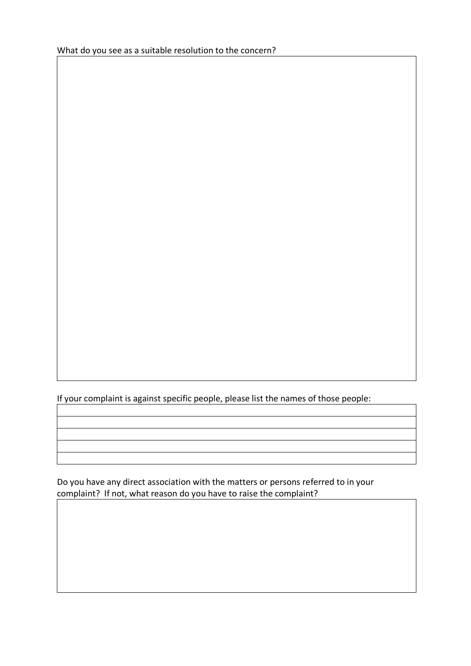If your complaint is against specific people, please list the names of those people:

Do you have any direct association with the matters or persons referred to in your complaint? If not, what reason do you have to raise the complaint?